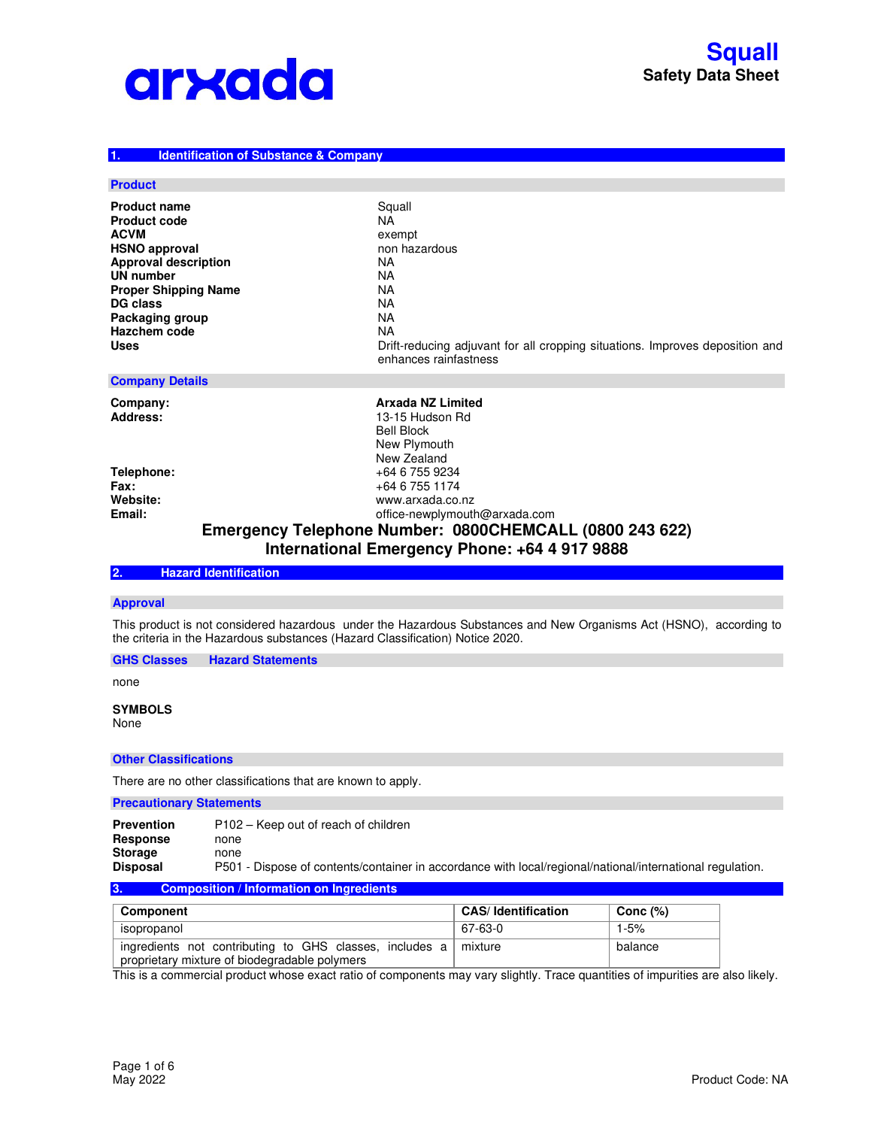

#### **1. Identification of Substance & Company**

#### **Product**

| <b>Product name</b>         | Squall                                                                                                |
|-----------------------------|-------------------------------------------------------------------------------------------------------|
| <b>Product code</b>         | NA                                                                                                    |
| <b>ACVM</b>                 | exempt                                                                                                |
| <b>HSNO approval</b>        | non hazardous                                                                                         |
| <b>Approval description</b> | ΝA                                                                                                    |
| UN number                   | ΝA                                                                                                    |
| <b>Proper Shipping Name</b> | ΝA                                                                                                    |
| <b>DG class</b>             | ΝA                                                                                                    |
| Packaging group             | ΝA                                                                                                    |
| <b>Hazchem code</b>         | NA                                                                                                    |
| <b>Uses</b>                 | Drift-reducing adjuvant for all cropping situations. Improves deposition and<br>enhances rainfastness |

## **Company Details**

**Company: Company: Arxada NZ Limited Address:** 13-15 Hudson Rd Bell Block New Plymouth New Zealand **Telephone:** +64 6 755 9234<br> **Fax:** +64 6 755 1174 **Fax:**  $+64 6 755 1174$ <br> **Website:** www.arxada.co. **Website:** www.arxada.co.nz **Email:** office-newplymouth@arxada.com

## **Emergency Telephone Number: 0800CHEMCALL (0800 243 622) International Emergency Phone: +64 4 917 9888**

## **2. Hazard Identification**

### **Approval**

This product is not considered hazardous under the Hazardous Substances and New Organisms Act (HSNO), according to the criteria in the Hazardous substances (Hazard Classification) Notice 2020.

**GHS Classes Hazard Statements** 

none

#### **SYMBOLS**  None

#### **Other Classifications**

There are no other classifications that are known to apply.

## **Precautionary Statements**

**Prevention** P102 – Keep out of reach of children<br> **Response** none **Response** none<br>**Storage** none **Storage Disposal** P501 - Dispose of contents/container in accordance with local/regional/national/international regulation.

#### **3. Composition / Information on Ingredients**

| Component                                                                                                | <b>CAS</b> / Identification | Conc (%) |
|----------------------------------------------------------------------------------------------------------|-----------------------------|----------|
| isopropanol                                                                                              | 67-63-0                     | $1 - 5%$ |
| ingredients not contributing to GHS classes, includes a<br>proprietary mixture of biodegradable polymers | mixture                     | balance  |

This is a commercial product whose exact ratio of components may vary slightly. Trace quantities of impurities are also likely.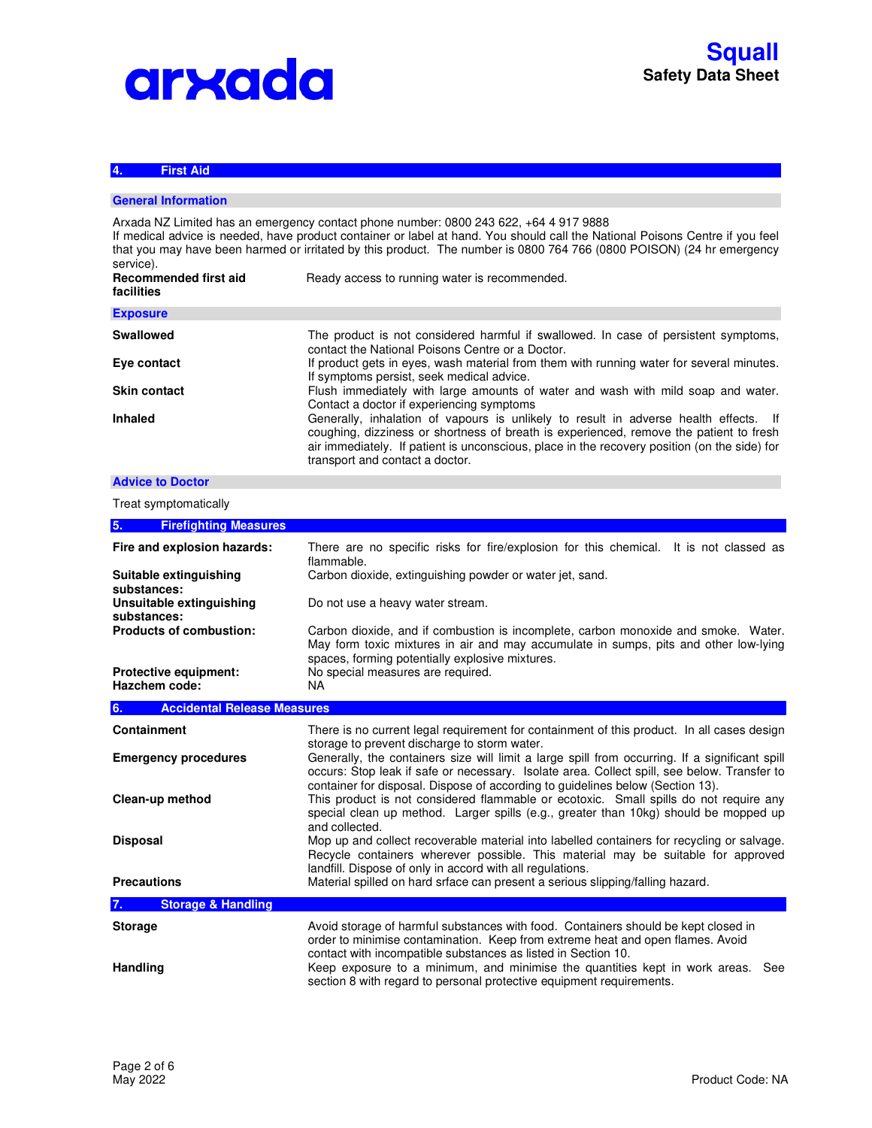# arxada

## **4. First Aid**

## **General Information**

Arxada NZ Limited has an emergency contact phone number: 0800 243 622, +64 4 917 9888 If medical advice is needed, have product container or label at hand. You should call the National Poisons Centre if you feel that you may have been harmed or irritated by this product. The number is 0800 764 766 (0800 POISON) (24 hr emergency service). **Recommended first aid facilities** Ready access to running water is recommended. **Exposure Swallowed** The product is not considered harmful if swallowed. In case of persistent symptoms, contact the National Poisons Centre or a Doctor. **Eye contact** If product gets in eyes, wash material from them with running water for several minutes. If symptoms persist, seek medical advice. **Skin contact** Flush immediately with large amounts of water and wash with mild soap and water. Contact a doctor if experiencing symptoms **Inhaled Generally, inhalation of vapours is unlikely to result in adverse health effects. If** coughing, dizziness or shortness of breath is experienced, remove the patient to fresh air immediately. If patient is unconscious, place in the recovery position (on the side) for transport and contact a doctor.

#### **Advice to Doctor**

Treat symptomatically

| 5.<br><b>Firefighting Measures</b>       |                                                                                                                                                                                                                                                                                 |
|------------------------------------------|---------------------------------------------------------------------------------------------------------------------------------------------------------------------------------------------------------------------------------------------------------------------------------|
| Fire and explosion hazards:              | There are no specific risks for fire/explosion for this chemical. It is not classed as<br>flammable.                                                                                                                                                                            |
| Suitable extinguishing<br>substances:    | Carbon dioxide, extinguishing powder or water jet, sand.                                                                                                                                                                                                                        |
| Unsuitable extinguishing<br>substances:  | Do not use a heavy water stream.                                                                                                                                                                                                                                                |
| <b>Products of combustion:</b>           | Carbon dioxide, and if combustion is incomplete, carbon monoxide and smoke. Water.<br>May form toxic mixtures in air and may accumulate in sumps, pits and other low-lying<br>spaces, forming potentially explosive mixtures.                                                   |
| Protective equipment:<br>Hazchem code:   | No special measures are required.<br>NA.                                                                                                                                                                                                                                        |
| <b>Accidental Release Measures</b><br>6. |                                                                                                                                                                                                                                                                                 |
| <b>Containment</b>                       | There is no current legal requirement for containment of this product. In all cases design<br>storage to prevent discharge to storm water.                                                                                                                                      |
| <b>Emergency procedures</b>              | Generally, the containers size will limit a large spill from occurring. If a significant spill<br>occurs: Stop leak if safe or necessary. Isolate area. Collect spill, see below. Transfer to<br>container for disposal. Dispose of according to guidelines below (Section 13). |
| Clean-up method                          | This product is not considered flammable or ecotoxic. Small spills do not require any<br>special clean up method. Larger spills (e.g., greater than 10kg) should be mopped up<br>and collected.                                                                                 |
| <b>Disposal</b>                          | Mop up and collect recoverable material into labelled containers for recycling or salvage.<br>Recycle containers wherever possible. This material may be suitable for approved<br>landfill. Dispose of only in accord with all regulations.                                     |
| <b>Precautions</b>                       | Material spilled on hard srface can present a serious slipping/falling hazard.                                                                                                                                                                                                  |
| <b>Storage &amp; Handling</b><br>7.      |                                                                                                                                                                                                                                                                                 |
| <b>Storage</b>                           | Avoid storage of harmful substances with food. Containers should be kept closed in<br>order to minimise contamination. Keep from extreme heat and open flames. Avoid<br>contact with incompatible substances as listed in Section 10.                                           |
| Handling                                 | Keep exposure to a minimum, and minimise the quantities kept in work areas.<br>See<br>section 8 with regard to personal protective equipment requirements.                                                                                                                      |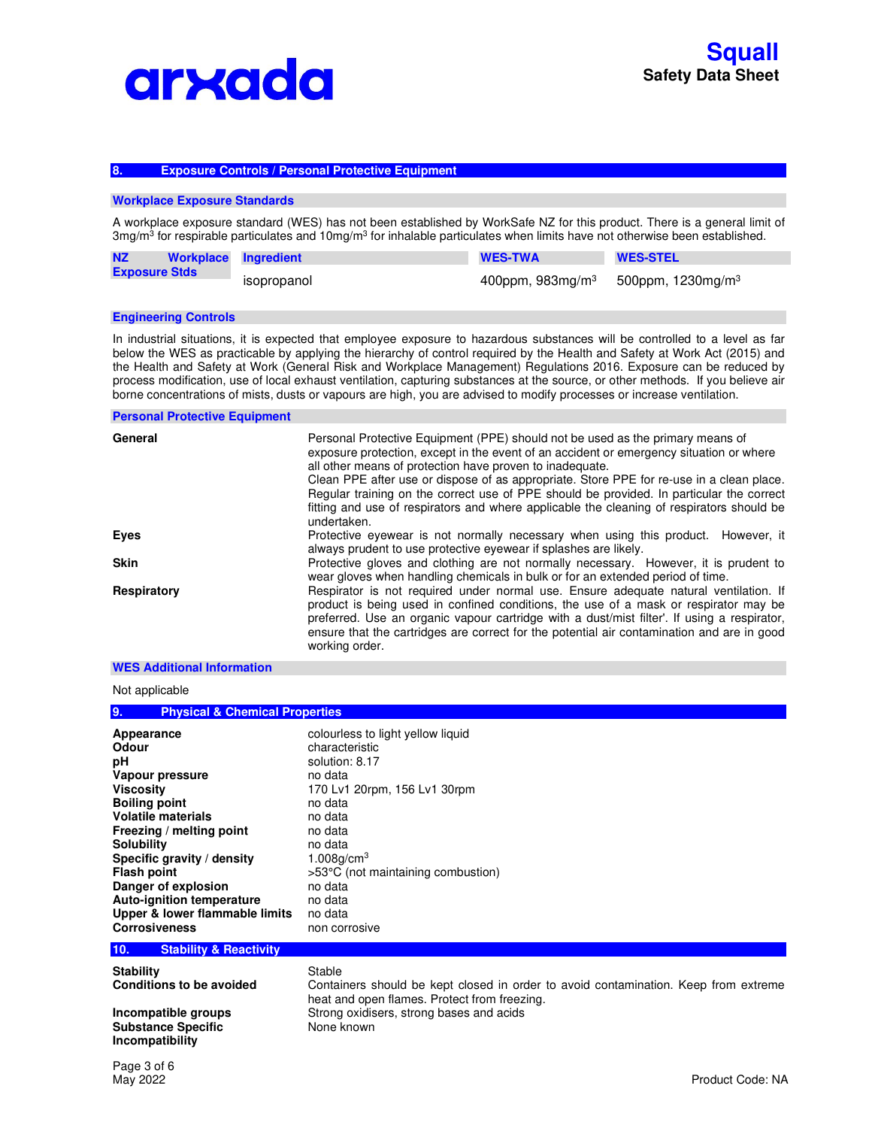

## **8. Exposure Controls / Personal Protective Equipment**

#### **Workplace Exposure Standards**

A workplace exposure standard (WES) has not been established by WorkSafe NZ for this product. There is a general limit of 3mg/m<sup>3</sup> for respirable particulates and 10mg/m<sup>3</sup> for inhalable particulates when limits have not otherwise been established.

| <b>NZ</b>            | Workplace Ingredient | <b>WES-TWA</b>     | <b>WES-STEL</b>               |
|----------------------|----------------------|--------------------|-------------------------------|
| <b>Exposure Stds</b> | isopropanol          | 400ppm, $983mg/m3$ | 500ppm, 1230mg/m <sup>3</sup> |

#### **Engineering Controls**

In industrial situations, it is expected that employee exposure to hazardous substances will be controlled to a level as far below the WES as practicable by applying the hierarchy of control required by the Health and Safety at Work Act (2015) and the Health and Safety at Work (General Risk and Workplace Management) Regulations 2016. Exposure can be reduced by process modification, use of local exhaust ventilation, capturing substances at the source, or other methods. If you believe air borne concentrations of mists, dusts or vapours are high, you are advised to modify processes or increase ventilation.

#### **Personal Protective Equipment**

| General     | Personal Protective Equipment (PPE) should not be used as the primary means of<br>exposure protection, except in the event of an accident or emergency situation or where<br>all other means of protection have proven to inadequate.<br>Clean PPE after use or dispose of as appropriate. Store PPE for re-use in a clean place.<br>Regular training on the correct use of PPE should be provided. In particular the correct<br>fitting and use of respirators and where applicable the cleaning of respirators should be<br>undertaken. |
|-------------|-------------------------------------------------------------------------------------------------------------------------------------------------------------------------------------------------------------------------------------------------------------------------------------------------------------------------------------------------------------------------------------------------------------------------------------------------------------------------------------------------------------------------------------------|
| <b>Eyes</b> | Protective eyewear is not normally necessary when using this product. However, it<br>always prudent to use protective eyewear if splashes are likely.                                                                                                                                                                                                                                                                                                                                                                                     |
| <b>Skin</b> | Protective gloves and clothing are not normally necessary. However, it is prudent to<br>wear gloves when handling chemicals in bulk or for an extended period of time.                                                                                                                                                                                                                                                                                                                                                                    |
| Respiratory | Respirator is not required under normal use. Ensure adequate natural ventilation. If<br>product is being used in confined conditions, the use of a mask or respirator may be<br>preferred. Use an organic vapour cartridge with a dust/mist filter'. If using a respirator,<br>ensure that the cartridges are correct for the potential air contamination and are in good<br>working order.                                                                                                                                               |

## **WES Additional Information**

Not applicable

| <b>Physical &amp; Chemical Properties</b><br>9.                                                                                                                                                                                                                                                                                   |                                                                                                                                                                                                                                                                       |  |
|-----------------------------------------------------------------------------------------------------------------------------------------------------------------------------------------------------------------------------------------------------------------------------------------------------------------------------------|-----------------------------------------------------------------------------------------------------------------------------------------------------------------------------------------------------------------------------------------------------------------------|--|
| Appearance<br>Odour<br>рH<br>Vapour pressure<br>Viscositv<br><b>Boiling point</b><br><b>Volatile materials</b><br>Freezing / melting point<br><b>Solubility</b><br>Specific gravity / density<br>Flash point<br>Danger of explosion<br><b>Auto-ignition temperature</b><br>Upper & lower flammable limits<br><b>Corrosiveness</b> | colourless to light yellow liquid<br>characteristic<br>solution: 8.17<br>no data<br>170 Lv1 20rpm, 156 Lv1 30rpm<br>no data<br>no data<br>no data<br>no data<br>1.008 $q/cm3$<br>>53°C (not maintaining combustion)<br>no data<br>no data<br>no data<br>non corrosive |  |
| 10.<br><b>Stability &amp; Reactivity</b>                                                                                                                                                                                                                                                                                          |                                                                                                                                                                                                                                                                       |  |
| <b>Stability</b>                                                                                                                                                                                                                                                                                                                  | Stable                                                                                                                                                                                                                                                                |  |

| Conditions to be avoided  | Containers should be kept closed in order to avoid contamination. Keep from extreme<br>heat and open flames. Protect from freezing. |
|---------------------------|-------------------------------------------------------------------------------------------------------------------------------------|
| Incompatible groups       | Strong oxidisers, strong bases and acids                                                                                            |
| <b>Substance Specific</b> | None known                                                                                                                          |
| Incompatibility           |                                                                                                                                     |

Page 3 of 6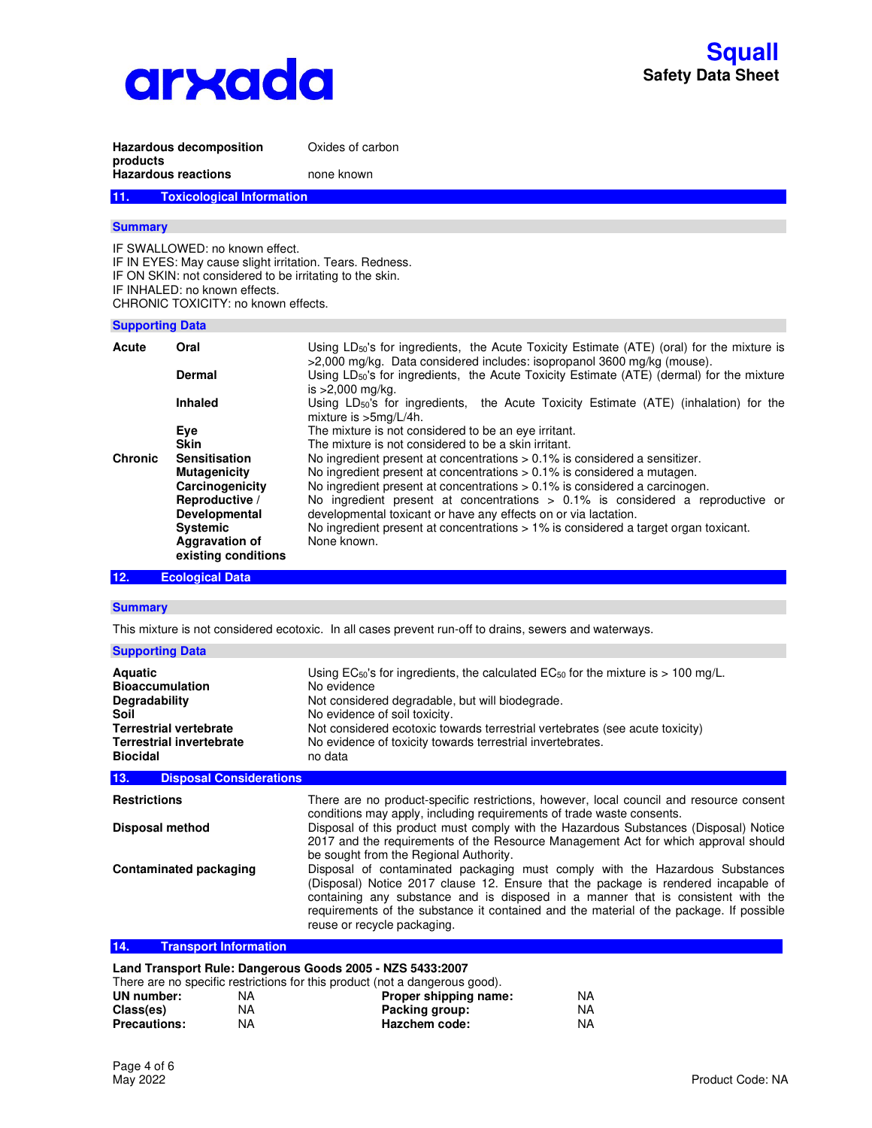

| products                                                                                                                                                        | <b>Hazardous decomposition</b>                                                                                                                                                                                                 | Oxides of carbon                                                                                                                                                                                                                                                                                                                                                                                                                                                                                                                                             |
|-----------------------------------------------------------------------------------------------------------------------------------------------------------------|--------------------------------------------------------------------------------------------------------------------------------------------------------------------------------------------------------------------------------|--------------------------------------------------------------------------------------------------------------------------------------------------------------------------------------------------------------------------------------------------------------------------------------------------------------------------------------------------------------------------------------------------------------------------------------------------------------------------------------------------------------------------------------------------------------|
|                                                                                                                                                                 | <b>Hazardous reactions</b>                                                                                                                                                                                                     | none known                                                                                                                                                                                                                                                                                                                                                                                                                                                                                                                                                   |
| 11.                                                                                                                                                             | <b>Toxicological Information</b>                                                                                                                                                                                               |                                                                                                                                                                                                                                                                                                                                                                                                                                                                                                                                                              |
| <b>Summary</b>                                                                                                                                                  |                                                                                                                                                                                                                                |                                                                                                                                                                                                                                                                                                                                                                                                                                                                                                                                                              |
|                                                                                                                                                                 | IF SWALLOWED: no known effect.<br>IF IN EYES: May cause slight irritation. Tears. Redness.<br>IF ON SKIN: not considered to be irritating to the skin.<br>IF INHALED: no known effects.<br>CHRONIC TOXICITY: no known effects. |                                                                                                                                                                                                                                                                                                                                                                                                                                                                                                                                                              |
| <b>Supporting Data</b>                                                                                                                                          |                                                                                                                                                                                                                                |                                                                                                                                                                                                                                                                                                                                                                                                                                                                                                                                                              |
| Acute                                                                                                                                                           | Oral<br><b>Dermal</b>                                                                                                                                                                                                          | Using $LD_{50}$ 's for ingredients, the Acute Toxicity Estimate (ATE) (oral) for the mixture is<br>>2,000 mg/kg. Data considered includes: isopropanol 3600 mg/kg (mouse).<br>Using LD <sub>50</sub> 's for ingredients, the Acute Toxicity Estimate (ATE) (dermal) for the mixture                                                                                                                                                                                                                                                                          |
|                                                                                                                                                                 | <b>Inhaled</b>                                                                                                                                                                                                                 | is $>2,000$ mg/kg.<br>Using LD <sub>50</sub> 's for ingredients, the Acute Toxicity Estimate (ATE) (inhalation) for the                                                                                                                                                                                                                                                                                                                                                                                                                                      |
|                                                                                                                                                                 | Eye                                                                                                                                                                                                                            | mixture is >5mg/L/4h.<br>The mixture is not considered to be an eye irritant.                                                                                                                                                                                                                                                                                                                                                                                                                                                                                |
| <b>Chronic</b>                                                                                                                                                  | <b>Skin</b><br><b>Sensitisation</b><br><b>Mutagenicity</b><br>Carcinogenicity<br>Reproductive /<br>Developmental<br><b>Systemic</b><br><b>Aggravation of</b><br>existing conditions                                            | The mixture is not considered to be a skin irritant.<br>No ingredient present at concentrations $> 0.1\%$ is considered a sensitizer.<br>No ingredient present at concentrations > 0.1% is considered a mutagen.<br>No ingredient present at concentrations > 0.1% is considered a carcinogen.<br>No ingredient present at concentrations $> 0.1\%$ is considered a reproductive or<br>developmental toxicant or have any effects on or via lactation.<br>No ingredient present at concentrations > 1% is considered a target organ toxicant.<br>None known. |
| 12.                                                                                                                                                             | <b>Ecological Data</b>                                                                                                                                                                                                         |                                                                                                                                                                                                                                                                                                                                                                                                                                                                                                                                                              |
| <b>Summary</b>                                                                                                                                                  |                                                                                                                                                                                                                                |                                                                                                                                                                                                                                                                                                                                                                                                                                                                                                                                                              |
|                                                                                                                                                                 |                                                                                                                                                                                                                                | This mixture is not considered ecotoxic. In all cases prevent run-off to drains, sewers and waterways.                                                                                                                                                                                                                                                                                                                                                                                                                                                       |
| <b>Supporting Data</b>                                                                                                                                          |                                                                                                                                                                                                                                |                                                                                                                                                                                                                                                                                                                                                                                                                                                                                                                                                              |
| <b>Aquatic</b><br><b>Bioaccumulation</b><br><b>Degradability</b><br>Soil<br><b>Terrestrial vertebrate</b><br><b>Terrestrial invertebrate</b><br><b>Biocidal</b> |                                                                                                                                                                                                                                | Using EC <sub>50</sub> 's for ingredients, the calculated EC <sub>50</sub> for the mixture is $> 100$ mg/L.<br>No evidence<br>Not considered degradable, but will biodegrade.<br>No evidence of soil toxicity.<br>Not considered ecotoxic towards terrestrial vertebrates (see acute toxicity)<br>No evidence of toxicity towards terrestrial invertebrates.<br>no data                                                                                                                                                                                      |
| <b>Disposal Considerations</b><br>13.                                                                                                                           |                                                                                                                                                                                                                                |                                                                                                                                                                                                                                                                                                                                                                                                                                                                                                                                                              |
| <b>Restrictions</b>                                                                                                                                             |                                                                                                                                                                                                                                | There are no product-specific restrictions, however, local council and resource consent                                                                                                                                                                                                                                                                                                                                                                                                                                                                      |
| Disposal method                                                                                                                                                 |                                                                                                                                                                                                                                | conditions may apply, including requirements of trade waste consents.<br>Disposal of this product must comply with the Hazardous Substances (Disposal) Notice<br>2017 and the requirements of the Resource Management Act for which approval should<br>be sought from the Regional Authority.                                                                                                                                                                                                                                                                |
|                                                                                                                                                                 | <b>Contaminated packaging</b>                                                                                                                                                                                                  | Disposal of contaminated packaging must comply with the Hazardous Substances<br>(Disposal) Notice 2017 clause 12. Ensure that the package is rendered incapable of<br>containing any substance and is disposed in a manner that is consistent with the<br>requirements of the substance it contained and the material of the package. If possible<br>reuse or recycle packaging.                                                                                                                                                                             |

## **14. Transport Information**

## **Land Transport Rule: Dangerous Goods 2005 - NZS 5433:2007**

|                     | There are no specific restrictions for this product (not a dangerous good). |                       |     |
|---------------------|-----------------------------------------------------------------------------|-----------------------|-----|
| UN number:          | NA                                                                          | Proper shipping name: | NA. |
| Class(es)           | NA                                                                          | Packing group:        | NA. |
| <b>Precautions:</b> | ΝA                                                                          | Hazchem code:         | NA. |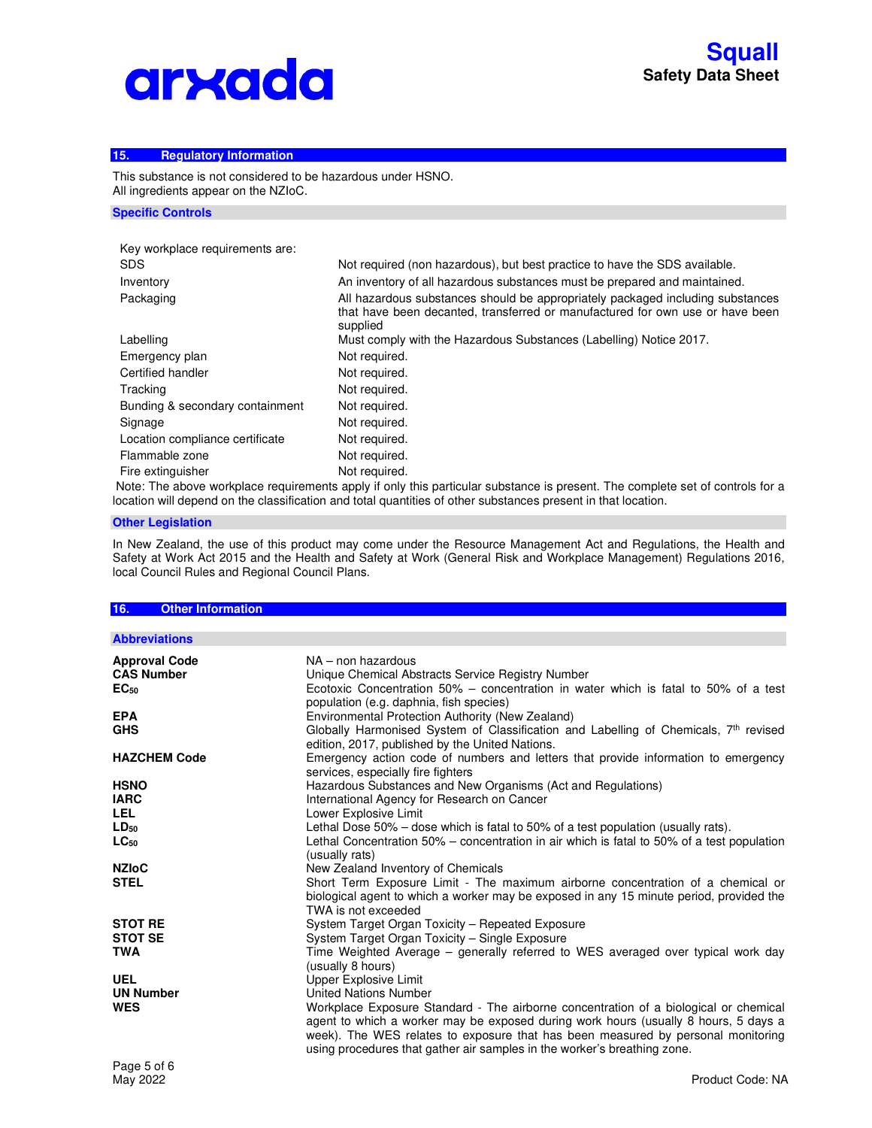# arxada

## **15. Regulatory Information**

This substance is not considered to be hazardous under HSNO. All ingredients appear on the NZIoC.

#### **Specific Controls**

| Key workplace requirements are: |                                                                                                                                                                             |
|---------------------------------|-----------------------------------------------------------------------------------------------------------------------------------------------------------------------------|
| <b>SDS</b>                      | Not required (non hazardous), but best practice to have the SDS available.                                                                                                  |
| Inventory                       | An inventory of all hazardous substances must be prepared and maintained.                                                                                                   |
| Packaging                       | All hazardous substances should be appropriately packaged including substances<br>that have been decanted, transferred or manufactured for own use or have been<br>supplied |
| Labelling                       | Must comply with the Hazardous Substances (Labelling) Notice 2017.                                                                                                          |
| Emergency plan                  | Not required.                                                                                                                                                               |
| Certified handler               | Not required.                                                                                                                                                               |
| Tracking                        | Not required.                                                                                                                                                               |
| Bunding & secondary containment | Not required.                                                                                                                                                               |
| Signage                         | Not required.                                                                                                                                                               |
| Location compliance certificate | Not required.                                                                                                                                                               |
| Flammable zone                  | Not required.                                                                                                                                                               |
| Fire extinguisher               | Not required.                                                                                                                                                               |
|                                 |                                                                                                                                                                             |

 Note: The above workplace requirements apply if only this particular substance is present. The complete set of controls for a location will depend on the classification and total quantities of other substances present in that location.

## **Other Legislation**

In New Zealand, the use of this product may come under the Resource Management Act and Regulations, the Health and Safety at Work Act 2015 and the Health and Safety at Work (General Risk and Workplace Management) Regulations 2016, local Council Rules and Regional Council Plans.

| 16.<br><b>Other Information</b> |                                                                                                                                                                                                                                                                                                                                             |
|---------------------------------|---------------------------------------------------------------------------------------------------------------------------------------------------------------------------------------------------------------------------------------------------------------------------------------------------------------------------------------------|
|                                 |                                                                                                                                                                                                                                                                                                                                             |
| <b>Abbreviations</b>            |                                                                                                                                                                                                                                                                                                                                             |
| <b>Approval Code</b>            | NA - non hazardous                                                                                                                                                                                                                                                                                                                          |
| <b>CAS Number</b>               | Unique Chemical Abstracts Service Registry Number                                                                                                                                                                                                                                                                                           |
| EC <sub>50</sub>                | Ecotoxic Concentration 50% - concentration in water which is fatal to 50% of a test<br>population (e.g. daphnia, fish species)                                                                                                                                                                                                              |
| <b>EPA</b>                      | Environmental Protection Authority (New Zealand)                                                                                                                                                                                                                                                                                            |
| <b>GHS</b>                      | Globally Harmonised System of Classification and Labelling of Chemicals, $7th$ revised<br>edition, 2017, published by the United Nations.                                                                                                                                                                                                   |
| <b>HAZCHEM Code</b>             | Emergency action code of numbers and letters that provide information to emergency<br>services, especially fire fighters                                                                                                                                                                                                                    |
| <b>HSNO</b>                     | Hazardous Substances and New Organisms (Act and Regulations)                                                                                                                                                                                                                                                                                |
| <b>IARC</b>                     | International Agency for Research on Cancer                                                                                                                                                                                                                                                                                                 |
| <b>LEL</b>                      | Lower Explosive Limit                                                                                                                                                                                                                                                                                                                       |
| $LD_{50}$                       | Lethal Dose $50\%$ – dose which is fatal to $50\%$ of a test population (usually rats).                                                                                                                                                                                                                                                     |
| $LC_{50}$                       | Lethal Concentration 50% – concentration in air which is fatal to 50% of a test population<br>(usually rats)                                                                                                                                                                                                                                |
| <b>NZIoC</b>                    | New Zealand Inventory of Chemicals                                                                                                                                                                                                                                                                                                          |
| <b>STEL</b>                     | Short Term Exposure Limit - The maximum airborne concentration of a chemical or<br>biological agent to which a worker may be exposed in any 15 minute period, provided the<br>TWA is not exceeded                                                                                                                                           |
| <b>STOT RE</b>                  | System Target Organ Toxicity - Repeated Exposure                                                                                                                                                                                                                                                                                            |
| <b>STOT SE</b>                  | System Target Organ Toxicity - Single Exposure                                                                                                                                                                                                                                                                                              |
| <b>TWA</b>                      | Time Weighted Average – generally referred to WES averaged over typical work day<br>(usually 8 hours)                                                                                                                                                                                                                                       |
| <b>UEL</b>                      | Upper Explosive Limit                                                                                                                                                                                                                                                                                                                       |
| <b>UN Number</b>                | <b>United Nations Number</b>                                                                                                                                                                                                                                                                                                                |
| <b>WES</b>                      | Workplace Exposure Standard - The airborne concentration of a biological or chemical<br>agent to which a worker may be exposed during work hours (usually 8 hours, 5 days a<br>week). The WES relates to exposure that has been measured by personal monitoring<br>using procedures that gather air samples in the worker's breathing zone. |
| $D - - - - - -$                 |                                                                                                                                                                                                                                                                                                                                             |